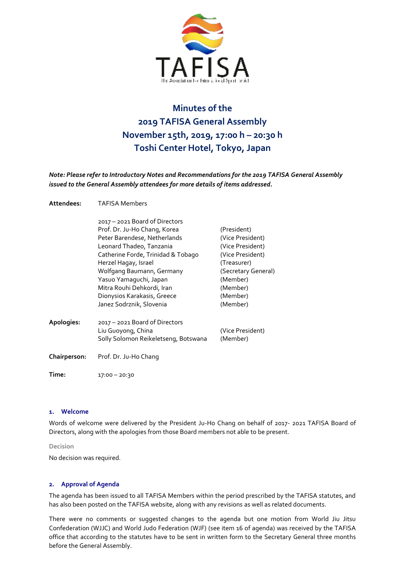

# **Minutes of the 2019 TAFISA General Assembly November 15th, 2019, 17:00 h – 20:30 h Toshi Center Hotel, Tokyo, Japan**

*Note: Please refer to Introductory Notes and Recommendations for the 2019 TAFISA General Assembly issued to the General Assembly attendees for more details of items addressed.*

| Attendees: | <b>TAFISA Members</b> |
|------------|-----------------------|
|            |                       |

|              | 2017 - 2021 Board of Directors       |                     |
|--------------|--------------------------------------|---------------------|
|              | Prof. Dr. Ju-Ho Chang, Korea         | (President)         |
|              | Peter Barendese, Netherlands         | (Vice President)    |
|              | Leonard Thadeo, Tanzania             | (Vice President)    |
|              | Catherine Forde, Trinidad & Tobago   | (Vice President)    |
|              | Herzel Hagay, Israel                 | (Treasurer)         |
|              | Wolfgang Baumann, Germany            | (Secretary General) |
|              | Yasuo Yamaguchi, Japan               | (Member)            |
|              | Mitra Rouhi Dehkordi, Iran           | (Member)            |
|              | Dionysios Karakasis, Greece          | (Member)            |
|              | Janez Sodrznik, Slovenia             | (Member)            |
| Apologies:   | 2017 - 2021 Board of Directors       |                     |
|              | Liu Guoyong, China                   | (Vice President)    |
|              | Solly Solomon Reikeletseng, Botswana | (Member)            |
| Chairperson: | Prof. Dr. Ju-Ho Chang                |                     |
|              |                                      |                     |

**Time:** 17:00 – 20:30

## **1. Welcome**

Words of welcome were delivered by the President Ju-Ho Chang on behalf of 2017- 2021 TAFISA Board of Directors, along with the apologies from those Board members not able to be present.

## **Decision**

No decision was required.

## **2. Approval of Agenda**

The agenda has been issued to all TAFISA Members within the period prescribed by the TAFISA statutes, and has also been posted on the TAFISA website, along with any revisions as well as related documents.

There were no comments or suggested changes to the agenda but one motion from World Jiu Jitsu Confederation (WJJC) and World Judo Federation (WJF) (see item 16 of agenda) was received by the TAFISA office that according to the statutes have to be sent in written form to the Secretary General three months before the General Assembly.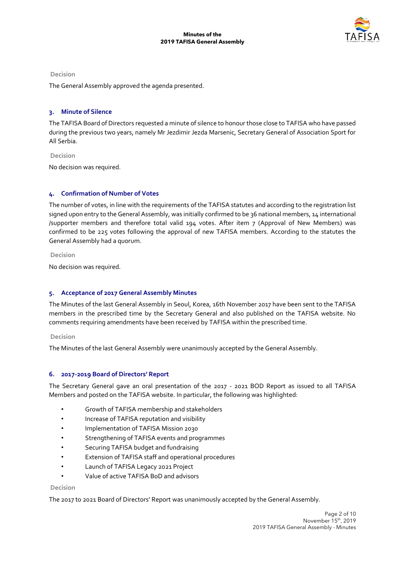

The General Assembly approved the agenda presented.

## **3. Minute of Silence**

The TAFISA Board of Directors requested a minute of silence to honour those close to TAFISA who have passed during the previous two years, namely Mr Jezdimir Jezda Marsenic, Secretary General of Association Sport for All Serbia.

**Decision** No decision was required.

# **4. Confirmation of Number of Votes**

The number of votes, in line with the requirements of the TAFISA statutes and according to the registration list signed upon entry to the General Assembly, was initially confirmed to be 36 national members, 14 international /supporter members and therefore total valid 194 votes. After item 7 (Approval of New Members) was confirmed to be 225 votes following the approval of new TAFISA members. According to the statutes the General Assembly had a quorum.

**Decision** 

No decision was required.

## **5. Acceptance of 2017 General Assembly Minutes**

The Minutes of the last General Assembly in Seoul, Korea, 16th November 2017 have been sent to the TAFISA members in the prescribed time by the Secretary General and also published on the TAFISA website. No comments requiring amendments have been received by TAFISA within the prescribed time.

#### **Decision**

The Minutes of the last General Assembly were unanimously accepted by the General Assembly.

## **6. 2017-2019 Board of Directors' Report**

The Secretary General gave an oral presentation of the 2017 - 2021 BOD Report as issued to all TAFISA Members and posted on the TAFISA website. In particular, the following was highlighted:

- Growth of TAFISA membership and stakeholders
- Increase of TAFISA reputation and visibility
- Implementation of TAFISA Mission 2030
- Strengthening of TAFISA events and programmes
- Securing TAFISA budget and fundraising
- Extension of TAFISA staff and operational procedures
- Launch of TAFISA Legacy 2021 Project
- Value of active TAFISA BoD and advisors

#### **Decision**

The 2017 to 2021 Board of Directors' Report was unanimously accepted by the General Assembly.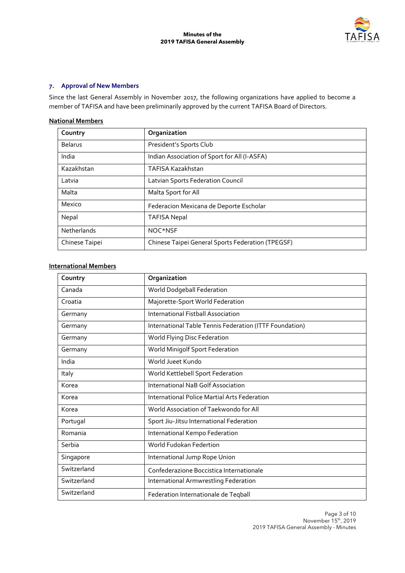

# **7. Approval of New Members**

Since the last General Assembly in November 2017, the following organizations have applied to become a member of TAFISA and have been preliminarily approved by the current TAFISA Board of Directors.

## **National Members**

| Country        | Organization                                      |
|----------------|---------------------------------------------------|
| <b>Belarus</b> | President's Sports Club                           |
| India          | Indian Association of Sport for All (I-ASFA)      |
| Kazakhstan     | TAFISA Kazakhstan                                 |
| Latvia         | Latvian Sports Federation Council                 |
| Malta          | Malta Sport for All                               |
| Mexico         | Federacion Mexicana de Deporte Escholar           |
| Nepal          | <b>TAFISA Nepal</b>                               |
| Netherlands    | NOC*NSF                                           |
| Chinese Taipei | Chinese Taipei General Sports Federation (TPEGSF) |

# **International Members**

| Country     | Organization                                            |
|-------------|---------------------------------------------------------|
| Canada      | World Dodgeball Federation                              |
| Croatia     | Majorette-Sport World Federation                        |
| Germany     | International Fistball Association                      |
| Germany     | International Table Tennis Federation (ITTF Foundation) |
| Germany     | World Flying Disc Federation                            |
| Germany     | World Minigolf Sport Federation                         |
| India       | World Jueet Kundo                                       |
| Italy       | World Kettlebell Sport Federation                       |
| Korea       | International NaB Golf Association                      |
| Korea       | International Police Martial Arts Federation            |
| Korea       | World Association of Taekwondo for All                  |
| Portugal    | Sport Jiu-Jitsu International Federation                |
| Romania     | International Kempo Federation                          |
| Serbia      | World Fudokan Federtion                                 |
| Singapore   | International Jump Rope Union                           |
| Switzerland | Confederazione Boccistica Internationale                |
| Switzerland | International Armwrestling Federation                   |
| Switzerland | Federation Internationale de Teqball                    |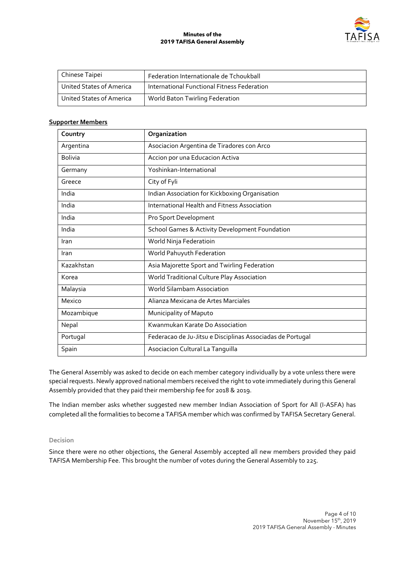

| Chinese Taipei           | Federation Internationale de Tchoukball     |
|--------------------------|---------------------------------------------|
| United States of America | International Functional Fitness Federation |
| United States of America | World Baton Twirling Federation             |

#### **Supporter Members**

| Country        | Organization                                               |
|----------------|------------------------------------------------------------|
| Argentina      | Asociacion Argentina de Tiradores con Arco                 |
| <b>Bolivia</b> | Accion por una Educacion Activa                            |
| Germany        | Yoshinkan-International                                    |
| Greece         | City of Fyli                                               |
| India          | Indian Association for Kickboxing Organisation             |
| India          | International Health and Fitness Association               |
| India          | Pro Sport Development                                      |
| India          | <b>School Games &amp; Activity Development Foundation</b>  |
| Iran           | World Ninja Federatioin                                    |
| Iran           | World Pahuyuth Federation                                  |
| Kazakhstan     | Asia Majorette Sport and Twirling Federation               |
| Korea          | World Traditional Culture Play Association                 |
| Malaysia       | <b>World Silambam Association</b>                          |
| Mexico         | Alianza Mexicana de Artes Marciales                        |
| Mozambique     | Municipality of Maputo                                     |
| Nepal          | Kwanmukan Karate Do Association                            |
| Portugal       | Federacao de Ju-Jitsu e Disciplinas Associadas de Portugal |
| Spain          | Asociacion Cultural La Tanguilla                           |

The General Assembly was asked to decide on each member category individually by a vote unless there were special requests. Newly approved national members received the right to vote immediately during this General Assembly provided that they paid their membership fee for 2018 & 2019.

The Indian member asks whether suggested new member Indian Association of Sport for All (I-ASFA) has completed all the formalities to become a TAFISA member which was confirmed by TAFISA Secretary General.

## **Decision**

Since there were no other objections, the General Assembly accepted all new members provided they paid TAFISA Membership Fee. This brought the number of votes during the General Assembly to 225.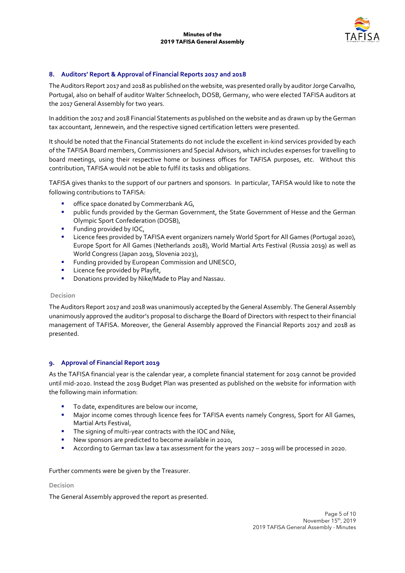

# **8. Auditors' Report & Approval of Financial Reports 2017 and 2018**

The Auditors Report 2017 and 2018 as published on the website, was presented orally by auditor Jorge Carvalho, Portugal, also on behalf of auditor Walter Schneeloch, DOSB, Germany, who were elected TAFISA auditors at the 2017 General Assembly for two years.

In addition the 2017 and 2018 Financial Statements as published on the website and as drawn up by the German tax accountant, Jennewein, and the respective signed certification letters were presented.

It should be noted that the Financial Statements do not include the excellent in-kind services provided by each of the TAFISA Board members, Commissioners and Special Advisors, which includes expenses for travelling to board meetings, using their respective home or business offices for TAFISA purposes, etc. Without this contribution, TAFISA would not be able to fulfil its tasks and obligations.

TAFISA gives thanks to the support of our partners and sponsors. In particular, TAFISA would like to note the following contributions to TAFISA:

- **■** office space donated by Commerzbank AG,
- public funds provided by the German Government, the State Government of Hesse and the German Olympic Sport Confederation (DOSB),
- **EXECUTE:** Funding provided by IOC,
- **EXECT Licence fees provided by TAFISA event organizers namely World Sport for All Games (Portugal 2020),** Europe Sport for All Games (Netherlands 2018), World Martial Arts Festival (Russia 2019) as well as World Congress (Japan 2019, Slovenia 2023),
- **•** Funding provided by European Commission and UNESCO,
- Licence fee provided by Playfit,
- Donations provided by Nike/Made to Play and Nassau.

## **Decision**

The Auditors Report 2017 and 2018 was unanimously accepted by the General Assembly. The General Assembly unanimously approved the auditor's proposal to discharge the Board of Directors with respect to their financial management of TAFISA. Moreover, the General Assembly approved the Financial Reports 2017 and 2018 as presented.

## **9. Approval of Financial Report 2019**

As the TAFISA financial year is the calendar year, a complete financial statement for 2019 cannot be provided until mid-2020. Instead the 2019 Budget Plan was presented as published on the website for information with the following main information:

- To date, expenditures are below our income,
- **■** Major income comes through licence fees for TAFISA events namely Congress, Sport for All Games, Martial Arts Festival,
- The signing of multi-year contracts with the IOC and Nike,
- New sponsors are predicted to become available in 2020,
- According to German tax law a tax assessment for the years 2017 2019 will be processed in 2020.

Further comments were be given by the Treasurer.

## **Decision**

The General Assembly approved the report as presented.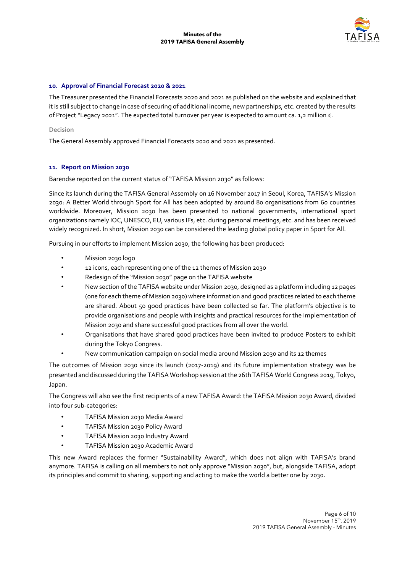

## **10. Approval of Financial Forecast 2020 & 2021**

The Treasurer presented the Financial Forecasts 2020 and 2021 as published on the website and explained that it is still subject to change in case of securing of additional income, new partnerships, etc. created by the results of Project "Legacy 2021". The expected total turnover per year is expected to amount ca. 1,2 million €.

## **Decision**

The General Assembly approved Financial Forecasts 2020 and 2021 as presented.

## **11. Report on Mission 2030**

Barendse reported on the current status of "TAFISA Mission 2030" as follows:

Since its launch during the TAFISA General Assembly on 16 November 2017 in Seoul, Korea, TAFISA's Mission 2030: A Better World through Sport for All has been adopted by around 80 organisations from 60 countries worldwide. Moreover, Mission 2030 has been presented to national governments, international sport organizations namely IOC, UNESCO, EU, various IFs, etc. during personal meetings, etc. and has been received widely recognized. In short, Mission 2030 can be considered the leading global policy paper in Sport for All.

Pursuing in our efforts to implement Mission 2030, the following has been produced:

- Mission 2030 logo
- 12 icons, each representing one of the 12 themes of Mission 2030
- Redesign of the "Mission 2030" page on the TAFISA website
- New section of the TAFISA website under Mission 2030, designed as a platform including 12 pages (one for each theme of Mission 2030) where information and good practices related to each theme are shared. About 50 good practices have been collected so far. The platform's objective is to provide organisations and people with insights and practical resources for the implementation of Mission 2030 and share successful good practices from all over the world.
- Organisations that have shared good practices have been invited to produce Posters to exhibit during the Tokyo Congress.
- New communication campaign on social media around Mission 2030 and its 12 themes

The outcomes of Mission 2030 since its launch (2017-2019) and its future implementation strategy was be presented and discussed during the TAFISA Workshop session at the 26th TAFISA World Congress 2019, Tokyo, Japan.

The Congress will also see the first recipients of a new TAFISA Award: the TAFISA Mission 2030 Award, divided into four sub-categories:

- TAFISA Mission 2030 Media Award
- TAFISA Mission 2030 Policy Award
- TAFISA Mission 2030 Industry Award
- TAFISA Mission 2030 Academic Award

This new Award replaces the former "Sustainability Award", which does not align with TAFISA's brand anymore. TAFISA is calling on all members to not only approve "Mission 2030", but, alongside TAFISA, adopt its principles and commit to sharing, supporting and acting to make the world a better one by 2030.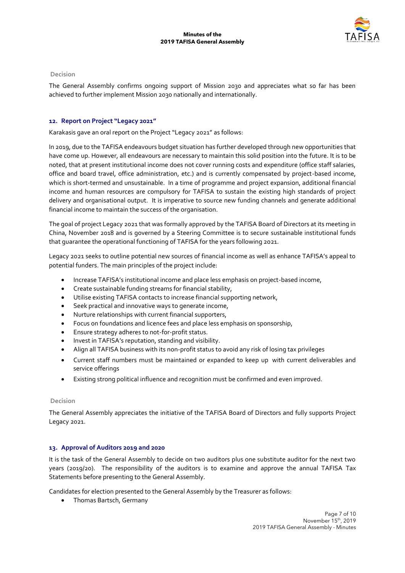

The General Assembly confirms ongoing support of Mission 2030 and appreciates what so far has been achieved to further implement Mission 2030 nationally and internationally.

## **12. Report on Project "Legacy 2021"**

Karakasis gave an oral report on the Project "Legacy 2021" as follows:

In 2019, due to the TAFISA endeavours budget situation has further developed through new opportunities that have come up. However, all endeavours are necessary to maintain this solid position into the future. It is to be noted, that at present institutional income does not cover running costs and expenditure (office staff salaries, office and board travel, office administration, etc.) and is currently compensated by project-based income, which is short-termed and unsustainable. In a time of programme and project expansion, additional financial income and human resources are compulsory for TAFISA to sustain the existing high standards of project delivery and organisational output. It is imperative to source new funding channels and generate additional financial income to maintain the success of the organisation.

The goal of project Legacy 2021 that was formally approved by the TAFISA Board of Directors at its meeting in China, November 2018 and is governed by a Steering Committee is to secure sustainable institutional funds that guarantee the operational functioning of TAFISA for the years following 2021.

Legacy 2021 seeks to outline potential new sources of financial income as well as enhance TAFISA's appeal to potential funders. The main principles of the project include:

- Increase TAFISA's institutional income and place less emphasis on project-based income,
- Create sustainable funding streams for financial stability,
- Utilise existing TAFISA contacts to increase financial supporting network,
- Seek practical and innovative ways to generate income,
- Nurture relationships with current financial supporters,
- Focus on foundations and licence fees and place less emphasis on sponsorship,
- Ensure strategy adheres to not-for-profit status.
- Invest in TAFISA's reputation, standing and visibility.
- Align all TAFISA business with its non-profit status to avoid any risk of losing tax privileges
- Current staff numbers must be maintained or expanded to keep up with current deliverables and service offerings
- Existing strong political influence and recognition must be confirmed and even improved.

## **Decision**

The General Assembly appreciates the initiative of the TAFISA Board of Directors and fully supports Project Legacy 2021.

## **13. Approval of Auditors 2019 and 2020**

It is the task of the General Assembly to decide on two auditors plus one substitute auditor for the next two years (2019/20). The responsibility of the auditors is to examine and approve the annual TAFISA Tax Statements before presenting to the General Assembly.

Candidates for election presented to the General Assembly by the Treasurer as follows:

• Thomas Bartsch, Germany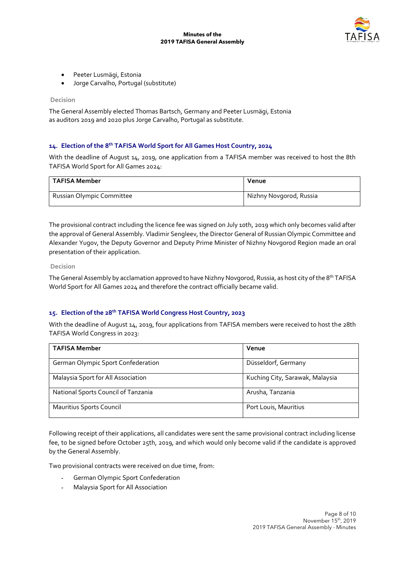

- Peeter Lusmägi, Estonia
- Jorge Carvalho, Portugal (substitute)

The General Assembly elected Thomas Bartsch, Germany and Peeter Lusmägi, Estonia as auditors 2019 and 2020 plus Jorge Carvalho, Portugal as substitute.

## **14. Election of the 8th TAFISA World Sport for All Games Host Country, 2024**

With the deadline of August 14, 2019, one application from a TAFISA member was received to host the 8th TAFISA World Sport for All Games 2024:

| <b>TAFISA Member</b>      | Venue                   |
|---------------------------|-------------------------|
| Russian Olympic Committee | Nizhny Novgorod, Russia |

The provisional contract including the licence fee was signed on July 10th, 2019 which only becomes valid after the approval of General Assembly. Vladimir Sengleev, the Director General of Russian Olympic Committee and Alexander Yugov, the Deputy Governor and Deputy Prime Minister of Nizhny Novgorod Region made an oral presentation of their application.

#### **Decision**

The General Assembly by acclamation approved to have Nizhny Novgorod, Russia, as host city of the 8<sup>th</sup> TAFISA World Sport for All Games 2024 and therefore the contract officially became valid.

# **15. Election of the 28th TAFISA World Congress Host Country, 2023**

With the deadline of August 14, 2019, four applications from TAFISA members were received to host the 28th TAFISA World Congress in 2023:

| <b>TAFISA Member</b>                | Venue                           |
|-------------------------------------|---------------------------------|
| German Olympic Sport Confederation  | Düsseldorf, Germany             |
| Malaysia Sport for All Association  | Kuching City, Sarawak, Malaysia |
| National Sports Council of Tanzania | Arusha, Tanzania                |
| Mauritius Sports Council            | Port Louis, Mauritius           |

Following receipt of their applications, all candidates were sent the same provisional contract including license fee, to be signed before October 25th, 2019, and which would only become valid if the candidate is approved by the General Assembly.

Two provisional contracts were received on due time, from:

- German Olympic Sport Confederation
- Malaysia Sport for All Association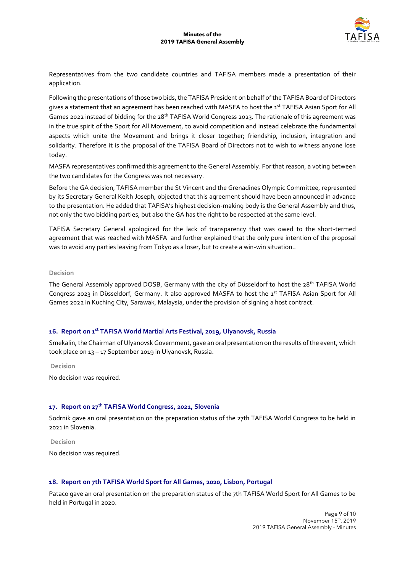

Representatives from the two candidate countries and TAFISA members made a presentation of their application.

Following the presentations of those two bids, the TAFISA President on behalf of the TAFISA Board of Directors gives a statement that an agreement has been reached with MASFA to host the 1<sup>st</sup> TAFISA Asian Sport for All Games 2022 instead of bidding for the 28<sup>th</sup> TAFISA World Congress 2023. The rationale of this agreement was in the true spirit of the Sport for All Movement, to avoid competition and instead celebrate the fundamental aspects which unite the Movement and brings it closer together; friendship, inclusion, integration and solidarity. Therefore it is the proposal of the TAFISA Board of Directors not to wish to witness anyone lose today.

MASFA representatives confirmed this agreement to the General Assembly. For that reason, a voting between the two candidates for the Congress was not necessary.

Before the GA decision, TAFISA member the St Vincent and the Grenadines Olympic Committee, represented by its Secretary General Keith Joseph, objected that this agreement should have been announced in advance to the presentation. He added that TAFISA's highest decision-making body is the General Assembly and thus, not only the two bidding parties, but also the GA has the right to be respected at the same level.

TAFISA Secretary General apologized for the lack of transparency that was owed to the short-termed agreement that was reached with MASFA and further explained that the only pure intention of the proposal was to avoid any parties leaving from Tokyo as a loser, but to create a win-win situation..

## **Decision**

The General Assembly approved DOSB, Germany with the city of Düsseldorf to host the 28th TAFISA World Congress 2023 in Düsseldorf, Germany. It also approved MASFA to host the 1<sup>st</sup> TAFISA Asian Sport for All Games 2022 in Kuching City, Sarawak, Malaysia, under the provision of signing a host contract.

## **16. Report on 1st TAFISA World Martial Arts Festival, 2019, Ulyanovsk, Russia**

Smekalin, the Chairman of Ulyanovsk Government, gave an oral presentation on the results of the event, which took place on 13 – 17 September 2019 in Ulyanovsk, Russia.

**Decision** 

No decision was required.

## **17. Report on 27th TAFISA World Congress, 2021, Slovenia**

Sodrnik gave an oral presentation on the preparation status of the 27th TAFISA World Congress to be held in 2021 in Slovenia.

**Decision** 

No decision was required.

## **18. Report on 7th TAFISA World Sport for All Games, 2020, Lisbon, Portugal**

Pataco gave an oral presentation on the preparation status of the 7th TAFISA World Sport for All Games to be held in Portugal in 2020.